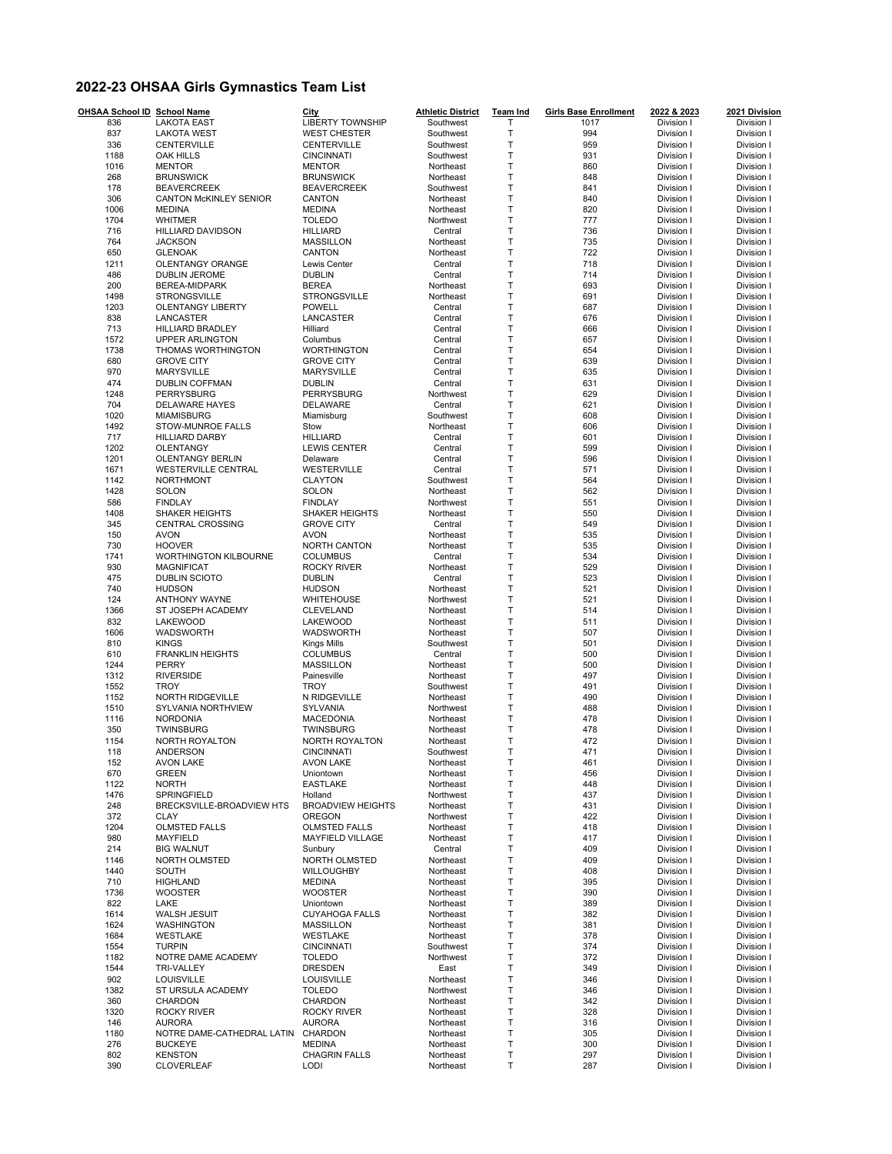## **2022-23 OHSAA Girls Gymnastics Team List**

| OHSAA School ID School Name |                                              | City                                      | <b>Athletic District</b> | <b>Team Ind</b>       | <b>Girls Base Enrollment</b> | 2022 & 2023              | 2021 Division            |
|-----------------------------|----------------------------------------------|-------------------------------------------|--------------------------|-----------------------|------------------------------|--------------------------|--------------------------|
| 836                         | <b>LAKOTA EAST</b>                           | <b>LIBERTY TOWNSHIP</b>                   | Southwest                | T                     | 1017                         | Division I               | Division I<br>Division I |
| 837<br>336                  | <b>LAKOTA WEST</b><br>CENTERVILLE            | <b>WEST CHESTER</b><br>CENTERVILLE        | Southwest<br>Southwest   | $\mathsf T$<br>T      | 994<br>959                   | Division I<br>Division I | Division I               |
| 1188                        | OAK HILLS                                    | <b>CINCINNATI</b>                         | Southwest                | $\top$                | 931                          | Division I               | Division I               |
| 1016                        | <b>MENTOR</b>                                | <b>MENTOR</b>                             | Northeast                | $\top$                | 860                          | Division I               | Division I               |
| 268                         | <b>BRUNSWICK</b>                             | <b>BRUNSWICK</b>                          | Northeast                | $\top$                | 848                          | Division I               | Division I               |
| 178                         | <b>BEAVERCREEK</b>                           | <b>BEAVERCREEK</b>                        | Southwest                | $\top$                | 841                          | Division I               | Division I               |
| 306                         | <b>CANTON McKINLEY SENIOR</b>                | <b>CANTON</b>                             | Northeast                | T                     | 840                          | Division I               | Division I               |
| 1006                        | <b>MEDINA</b>                                | <b>MEDINA</b>                             | Northeast                | T                     | 820                          | Division I               | Division I               |
| 1704                        | <b>WHITMER</b>                               | <b>TOLEDO</b>                             | Northwest                | $\mathsf T$           | 777                          | Division I               | Division I               |
| 716                         | HILLIARD DAVIDSON                            | <b>HILLIARD</b>                           | Central                  | $\mathsf{T}$          | 736                          | Division I               | Division I               |
| 764                         | <b>JACKSON</b>                               | <b>MASSILLON</b>                          | Northeast                | T                     | 735                          | Division I               | Division I               |
| 650                         | <b>GLENOAK</b>                               | CANTON                                    | Northeast                | $\top$                | 722                          | Division I               | Division I               |
| 1211                        | OLENTANGY ORANGE                             | Lewis Center                              | Central                  | $\top$                | 718                          | Division I               | Division I               |
| 486                         | <b>DUBLIN JEROME</b>                         | <b>DUBLIN</b>                             | Central                  | $\mathsf T$           | 714                          | Division I               | Division I               |
| 200                         | BEREA-MIDPARK                                | <b>BEREA</b>                              | Northeast                | $\top$                | 693                          | Division I               | Division I               |
| 1498                        | <b>STRONGSVILLE</b>                          | <b>STRONGSVILLE</b>                       | Northeast                | $\mathsf T$           | 691                          | Division I               | Division I               |
| 1203                        | <b>OLENTANGY LIBERTY</b>                     | <b>POWELL</b>                             | Central                  | $\top$                | 687                          | Division I               | Division I               |
| 838                         | LANCASTER                                    | LANCASTER                                 | Central                  | $\mathsf T$           | 676                          | Division I               | Division I               |
| 713<br>1572                 | <b>HILLIARD BRADLEY</b>                      | Hilliard<br>Columbus                      | Central<br>Central       | $\top$<br>$\mathsf T$ | 666<br>657                   | Division I               | Division I               |
| 1738                        | <b>UPPER ARLINGTON</b><br>THOMAS WORTHINGTON | <b>WORTHINGTON</b>                        | Central                  | $\sf T$               | 654                          | Division I<br>Division I | Division I<br>Division I |
| 680                         | <b>GROVE CITY</b>                            | <b>GROVE CITY</b>                         | Central                  | $\mathsf T$           | 639                          | Division I               | Division I               |
| 970                         | <b>MARYSVILLE</b>                            | MARYSVILLE                                | Central                  | T                     | 635                          | Division I               | Division I               |
| 474                         | <b>DUBLIN COFFMAN</b>                        | <b>DUBLIN</b>                             | Central                  | $\mathsf T$           | 631                          | Division I               | Division I               |
| 1248                        | PERRYSBURG                                   | PERRYSBURG                                | Northwest                | $\sf T$               | 629                          | Division I               | Division I               |
| 704                         | <b>DELAWARE HAYES</b>                        | DELAWARE                                  | Central                  | $\mathsf T$           | 621                          | Division I               | Division I               |
| 1020                        | <b>MIAMISBURG</b>                            | Miamisburg                                | Southwest                | $\sf T$               | 608                          | Division I               | Division I               |
| 1492                        | STOW-MUNROE FALLS                            | Stow                                      | Northeast                | T                     | 606                          | Division I               | Division I               |
| 717                         | <b>HILLIARD DARBY</b>                        | <b>HILLIARD</b>                           | Central                  | $\top$                | 601                          | Division I               | Division I               |
| 1202                        | OLENTANGY                                    | <b>LEWIS CENTER</b>                       | Central                  | $\mathsf T$           | 599                          | Division I               | Division I               |
| 1201                        | <b>OLENTANGY BERLIN</b>                      | Delaware                                  | Central                  | $\top$                | 596                          | Division I               | Division I               |
| 1671                        | WESTERVILLE CENTRAL                          | WESTERVILLE                               | Central                  | T                     | 571                          | Division I               | Division I               |
| 1142                        | <b>NORTHMONT</b>                             | <b>CLAYTON</b>                            | Southwest                | $\top$                | 564                          | Division I               | Division I               |
| 1428                        | SOLON                                        | SOLON                                     | Northeast                | T                     | 562                          | Division I               | Division I               |
| 586                         | <b>FINDLAY</b>                               | <b>FINDLAY</b>                            | Northwest                | $\mathsf{T}$          | 551                          | Division I               | Division I               |
| 1408                        | SHAKER HEIGHTS                               | SHAKER HEIGHTS                            | Northeast                | T                     | 550                          | Division I               | Division I               |
| 345                         | <b>CENTRAL CROSSING</b>                      | <b>GROVE CITY</b>                         | Central                  | $\top$                | 549                          | Division I               | Division I               |
| 150                         | <b>AVON</b>                                  | <b>AVON</b>                               | Northeast                | T                     | 535                          | Division I               | Division I               |
| 730                         | <b>HOOVER</b>                                | NORTH CANTON                              | Northeast                | $\mathsf T$           | 535                          | Division I               | Division I               |
| 1741<br>930                 | WORTHINGTON KILBOURNE                        | <b>COLUMBUS</b>                           | Central                  | $\top$<br>$\mathsf T$ | 534<br>529                   | Division I               | Division I               |
| 475                         | <b>MAGNIFICAT</b><br>DUBLIN SCIOTO           | <b>ROCKY RIVER</b><br><b>DUBLIN</b>       | Northeast<br>Central     | $\top$                | 523                          | Division I               | Division I<br>Division I |
| 740                         | <b>HUDSON</b>                                | <b>HUDSON</b>                             | Northeast                | $\mathsf T$           | 521                          | Division I<br>Division I | Division I               |
| 124                         | ANTHONY WAYNE                                | WHITEHOUSE                                | Northwest                | $\top$                | 521                          | Division I               | Division I               |
| 1366                        | ST JOSEPH ACADEMY                            | CLEVELAND                                 | Northeast                | $\mathsf T$           | 514                          | Division I               | Division I               |
| 832                         | LAKEWOOD                                     | LAKEWOOD                                  | Northeast                | $\top$                | 511                          | Division I               | Division I               |
| 1606                        | WADSWORTH                                    | WADSWORTH                                 | Northeast                | $\mathsf T$           | 507                          | Division I               | Division I               |
| 810                         | <b>KINGS</b>                                 | <b>Kings Mills</b>                        | Southwest                | $\mathsf T$           | 501                          | Division I               | Division I               |
| 610                         | <b>FRANKLIN HEIGHTS</b>                      | <b>COLUMBUS</b>                           | Central                  | $\mathsf T$           | 500                          | Division I               | Division I               |
| 1244                        | PERRY                                        | <b>MASSILLON</b>                          | Northeast                | $\top$                | 500                          | Division I               | Division I               |
| 1312                        | <b>RIVERSIDE</b>                             | Painesville                               | Northeast                | $\mathsf T$           | 497                          | Division I               | Division I               |
| 1552                        | <b>TROY</b>                                  | <b>TROY</b>                               | Southwest                | $\top$                | 491                          | Division I               | Division I               |
| 1152                        | NORTH RIDGEVILLE                             | N RIDGEVILLE                              | Northeast                | T                     | 490                          | Division I               | Division I               |
| 1510                        | SYLVANIA NORTHVIEW                           | SYLVANIA                                  | Northwest                | $\top$                | 488                          | Division I               | Division I               |
| 1116                        | <b>NORDONIA</b>                              | <b>MACEDONIA</b>                          | Northeast                | $\mathsf T$           | 478                          | Division I               | Division I               |
| 350                         | TWINSBURG                                    | <b>TWINSBURG</b>                          | Northeast                | $\mathsf T$           | 478                          | Division I               | Division I               |
| 1154                        | NORTH ROYALTON                               | NORTH ROYALTON                            | Northeast                | T                     | 472                          | Division I               | Division I               |
| 118                         | ANDERSON                                     | <b>CINCINNATI</b>                         | Southwest                | T                     | 471                          | Division I               | Division I               |
| 152                         | <b>AVON LAKE</b>                             | <b>AVON LAKE</b>                          | <b>NORDERST</b>          | T                     | 461                          | Division I               | Division I               |
| 670                         | <b>GREEN</b>                                 | Uniontown                                 | Northeast                | $\sf T$               | 456                          | Division I               | Division I               |
| 1122                        | <b>NORTH</b><br><b>SPRINGFIELD</b>           | <b>EASTLAKE</b>                           | Northeast<br>Northwest   | Τ                     | 448                          | Division I               | Division I               |
| 1476                        |                                              | Holland                                   | Northeast                | T<br>$\sf T$          | 437                          | Division I<br>Division I | Division I<br>Division I |
| 248<br>372                  | BRECKSVILLE-BROADVIEW HTS<br>CLAY            | <b>BROADVIEW HEIGHTS</b><br><b>OREGON</b> | Northwest                | T                     | 431<br>422                   | Division I               | Division I               |
| 1204                        | <b>OLMSTED FALLS</b>                         | <b>OLMSTED FALLS</b>                      | Northeast                | T                     | 418                          | Division I               | Division I               |
| 980                         | MAYFIELD                                     | <b>MAYFIELD VILLAGE</b>                   | Northeast                | T                     | 417                          | Division I               | Division I               |
| 214                         | <b>BIG WALNUT</b>                            | Sunbury                                   | Central                  | $\sf T$               | 409                          | Division I               | Division I               |
| 1146                        | <b>NORTH OLMSTED</b>                         | NORTH OLMSTED                             | Northeast                | T                     | 409                          | Division I               | Division I               |
| 1440                        | SOUTH                                        | WILLOUGHBY                                | Northeast                | Τ                     | 408                          | Division I               | Division I               |
| 710                         | <b>HIGHLAND</b>                              | <b>MEDINA</b>                             | Northeast                | T                     | 395                          | Division I               | Division I               |
| 1736                        | <b>WOOSTER</b>                               | <b>WOOSTER</b>                            | Northeast                | T                     | 390                          | Division I               | Division I               |
| 822                         | LAKE                                         | Uniontown                                 | Northeast                | T                     | 389                          | Division I               | Division I               |
| 1614                        | <b>WALSH JESUIT</b>                          | <b>CUYAHOGA FALLS</b>                     | Northeast                | T                     | 382                          | Division I               | Division I               |
| 1624                        | <b>WASHINGTON</b>                            | <b>MASSILLON</b>                          | Northeast                | T                     | 381                          | Division I               | Division I               |
| 1684                        | WESTLAKE                                     | WESTLAKE                                  | Northeast                | T                     | 378                          | Division I               | Division I               |
| 1554                        | <b>TURPIN</b>                                | <b>CINCINNATI</b>                         | Southwest                | T                     | 374                          | Division I               | Division I               |
| 1182                        | NOTRE DAME ACADEMY                           | <b>TOLEDO</b>                             | Northwest                | T                     | 372                          | Division I               | Division I               |
| 1544                        | <b>TRI-VALLEY</b>                            | <b>DRESDEN</b>                            | East                     | T                     | 349                          | Division I               | Division I               |
| 902                         | LOUISVILLE                                   | LOUISVILLE                                | Northeast                | T                     | 346                          | Division I               | Division I               |
| 1382                        | ST URSULA ACADEMY                            | <b>TOLEDO</b>                             | Northwest                | T                     | 346                          | Division I               | Division I               |
| 360                         | CHARDON                                      | CHARDON                                   | Northeast                | T                     | 342                          | Division I               | Division I               |
| 1320                        | <b>ROCKY RIVER</b>                           | <b>ROCKY RIVER</b>                        | Northeast                | T                     | 328                          | Division I               | Division I               |
| 146                         | <b>AURORA</b>                                | <b>AURORA</b>                             | Northeast                | T                     | 316                          | Division I               | Division I               |
| 1180                        | NOTRE DAME-CATHEDRAL LATIN                   | CHARDON<br><b>MEDINA</b>                  | Northeast                | $\sf T$<br>T          | 305                          | Division I               | Division I<br>Division I |
| 276<br>802                  | <b>BUCKEYE</b><br><b>KENSTON</b>             | <b>CHAGRIN FALLS</b>                      | Northeast<br>Northeast   | T                     | 300<br>297                   | Division I<br>Division I | Division I               |
| 390                         | <b>CLOVERLEAF</b>                            | <b>LODI</b>                               | Northeast                | Τ                     | 287                          | Division I               | Division I               |
|                             |                                              |                                           |                          |                       |                              |                          |                          |